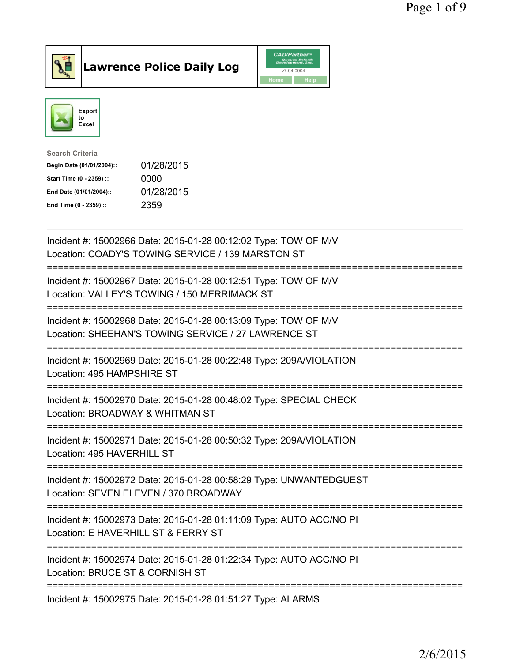



| <b>Search Criteria</b>    |            |
|---------------------------|------------|
| Begin Date (01/01/2004):: | 01/28/2015 |
| Start Time (0 - 2359) ::  | 0000       |
| End Date (01/01/2004)::   | 01/28/2015 |
| End Time (0 - 2359) ::    | 2359       |
|                           |            |

| Incident #: 15002966 Date: 2015-01-28 00:12:02 Type: TOW OF M/V<br>Location: COADY'S TOWING SERVICE / 139 MARSTON ST          |
|-------------------------------------------------------------------------------------------------------------------------------|
| Incident #: 15002967 Date: 2015-01-28 00:12:51 Type: TOW OF M/V<br>Location: VALLEY'S TOWING / 150 MERRIMACK ST               |
| Incident #: 15002968 Date: 2015-01-28 00:13:09 Type: TOW OF M/V<br>Location: SHEEHAN'S TOWING SERVICE / 27 LAWRENCE ST        |
| Incident #: 15002969 Date: 2015-01-28 00:22:48 Type: 209A/VIOLATION<br>Location: 495 HAMPSHIRE ST                             |
| Incident #: 15002970 Date: 2015-01-28 00:48:02 Type: SPECIAL CHECK<br>Location: BROADWAY & WHITMAN ST<br>-------------------- |
| Incident #: 15002971 Date: 2015-01-28 00:50:32 Type: 209A/VIOLATION<br>Location: 495 HAVERHILL ST                             |
| Incident #: 15002972 Date: 2015-01-28 00:58:29 Type: UNWANTEDGUEST<br>Location: SEVEN ELEVEN / 370 BROADWAY                   |
| Incident #: 15002973 Date: 2015-01-28 01:11:09 Type: AUTO ACC/NO PI<br>Location: E HAVERHILL ST & FERRY ST                    |
| Incident #: 15002974 Date: 2015-01-28 01:22:34 Type: AUTO ACC/NO PI<br>Location: BRUCE ST & CORNISH ST                        |
| Incident #: 15002975 Date: 2015-01-28 01:51:27 Type: ALARMS                                                                   |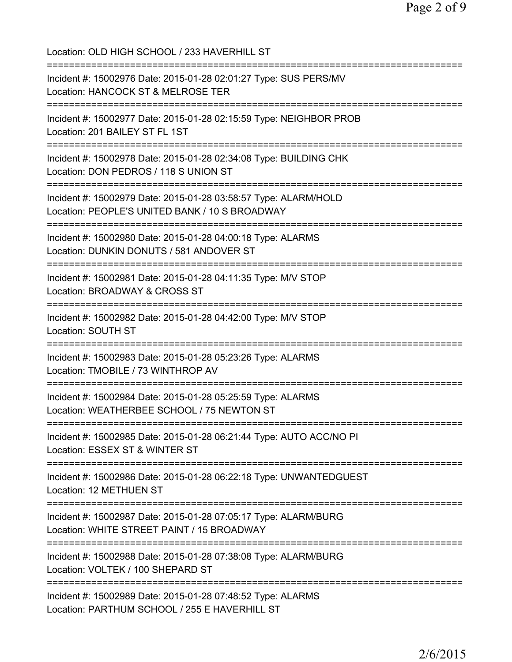Location: OLD HIGH SCHOOL / 233 HAVERHILL ST =========================================================================== Incident #: 15002976 Date: 2015-01-28 02:01:27 Type: SUS PERS/MV Location: HANCOCK ST & MELROSE TER =========================================================================== Incident #: 15002977 Date: 2015-01-28 02:15:59 Type: NEIGHBOR PROB Location: 201 BAILEY ST FL 1ST =========================================================================== Incident #: 15002978 Date: 2015-01-28 02:34:08 Type: BUILDING CHK Location: DON PEDROS / 118 S UNION ST =========================================================================== Incident #: 15002979 Date: 2015-01-28 03:58:57 Type: ALARM/HOLD Location: PEOPLE'S UNITED BANK / 10 S BROADWAY =========================================================================== Incident #: 15002980 Date: 2015-01-28 04:00:18 Type: ALARMS Location: DUNKIN DONUTS / 581 ANDOVER ST =========================================================================== Incident #: 15002981 Date: 2015-01-28 04:11:35 Type: M/V STOP Location: BROADWAY & CROSS ST =========================================================================== Incident #: 15002982 Date: 2015-01-28 04:42:00 Type: M/V STOP Location: SOUTH ST =========================================================================== Incident #: 15002983 Date: 2015-01-28 05:23:26 Type: ALARMS Location: TMOBILE / 73 WINTHROP AV =========================================================================== Incident #: 15002984 Date: 2015-01-28 05:25:59 Type: ALARMS Location: WEATHERBEE SCHOOL / 75 NEWTON ST =========================================================================== Incident #: 15002985 Date: 2015-01-28 06:21:44 Type: AUTO ACC/NO PI Location: ESSEX ST & WINTER ST =========================================================================== Incident #: 15002986 Date: 2015-01-28 06:22:18 Type: UNWANTEDGUEST Location: 12 METHUEN ST =========================================================================== Incident #: 15002987 Date: 2015-01-28 07:05:17 Type: ALARM/BURG Location: WHITE STREET PAINT / 15 BROADWAY =========================================================================== Incident #: 15002988 Date: 2015-01-28 07:38:08 Type: ALARM/BURG Location: VOLTEK / 100 SHEPARD ST =========================================================================== Incident #: 15002989 Date: 2015-01-28 07:48:52 Type: ALARMS Location: PARTHUM SCHOOL / 255 E HAVERHILL ST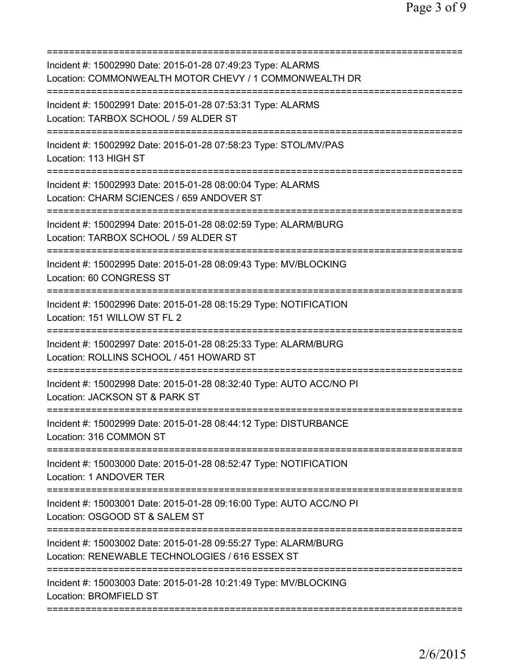| Incident #: 15002990 Date: 2015-01-28 07:49:23 Type: ALARMS<br>Location: COMMONWEALTH MOTOR CHEVY / 1 COMMONWEALTH DR                                |
|------------------------------------------------------------------------------------------------------------------------------------------------------|
| Incident #: 15002991 Date: 2015-01-28 07:53:31 Type: ALARMS<br>Location: TARBOX SCHOOL / 59 ALDER ST                                                 |
| Incident #: 15002992 Date: 2015-01-28 07:58:23 Type: STOL/MV/PAS<br>Location: 113 HIGH ST                                                            |
| Incident #: 15002993 Date: 2015-01-28 08:00:04 Type: ALARMS<br>Location: CHARM SCIENCES / 659 ANDOVER ST                                             |
| Incident #: 15002994 Date: 2015-01-28 08:02:59 Type: ALARM/BURG<br>Location: TARBOX SCHOOL / 59 ALDER ST                                             |
| Incident #: 15002995 Date: 2015-01-28 08:09:43 Type: MV/BLOCKING<br>Location: 60 CONGRESS ST                                                         |
| Incident #: 15002996 Date: 2015-01-28 08:15:29 Type: NOTIFICATION<br>Location: 151 WILLOW ST FL 2                                                    |
| =====================================<br>Incident #: 15002997 Date: 2015-01-28 08:25:33 Type: ALARM/BURG<br>Location: ROLLINS SCHOOL / 451 HOWARD ST |
| =====================<br>Incident #: 15002998 Date: 2015-01-28 08:32:40 Type: AUTO ACC/NO PI<br>Location: JACKSON ST & PARK ST                       |
| Incident #: 15002999 Date: 2015-01-28 08:44:12 Type: DISTURBANCE<br>Location: 316 COMMON ST                                                          |
| Incident #: 15003000 Date: 2015-01-28 08:52:47 Type: NOTIFICATION<br>Location: 1 ANDOVER TER                                                         |
| Incident #: 15003001 Date: 2015-01-28 09:16:00 Type: AUTO ACC/NO PI<br>Location: OSGOOD ST & SALEM ST                                                |
| Incident #: 15003002 Date: 2015-01-28 09:55:27 Type: ALARM/BURG<br>Location: RENEWABLE TECHNOLOGIES / 616 ESSEX ST                                   |
| Incident #: 15003003 Date: 2015-01-28 10:21:49 Type: MV/BLOCKING<br>Location: BROMFIELD ST                                                           |
|                                                                                                                                                      |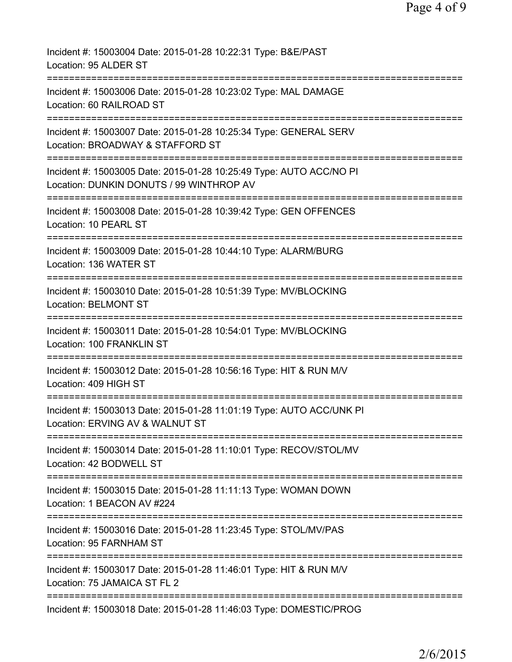| Incident #: 15003004 Date: 2015-01-28 10:22:31 Type: B&E/PAST<br>Location: 95 ALDER ST                               |
|----------------------------------------------------------------------------------------------------------------------|
| Incident #: 15003006 Date: 2015-01-28 10:23:02 Type: MAL DAMAGE<br>Location: 60 RAILROAD ST                          |
| Incident #: 15003007 Date: 2015-01-28 10:25:34 Type: GENERAL SERV<br>Location: BROADWAY & STAFFORD ST                |
| Incident #: 15003005 Date: 2015-01-28 10:25:49 Type: AUTO ACC/NO PI<br>Location: DUNKIN DONUTS / 99 WINTHROP AV      |
| Incident #: 15003008 Date: 2015-01-28 10:39:42 Type: GEN OFFENCES<br>Location: 10 PEARL ST                           |
| Incident #: 15003009 Date: 2015-01-28 10:44:10 Type: ALARM/BURG<br>Location: 136 WATER ST                            |
| Incident #: 15003010 Date: 2015-01-28 10:51:39 Type: MV/BLOCKING<br><b>Location: BELMONT ST</b>                      |
| Incident #: 15003011 Date: 2015-01-28 10:54:01 Type: MV/BLOCKING<br>Location: 100 FRANKLIN ST                        |
| =====================<br>Incident #: 15003012 Date: 2015-01-28 10:56:16 Type: HIT & RUN M/V<br>Location: 409 HIGH ST |
| Incident #: 15003013 Date: 2015-01-28 11:01:19 Type: AUTO ACC/UNK PI<br>Location: ERVING AV & WALNUT ST              |
| Incident #: 15003014 Date: 2015-01-28 11:10:01 Type: RECOV/STOL/MV<br>Location: 42 BODWELL ST                        |
| Incident #: 15003015 Date: 2015-01-28 11:11:13 Type: WOMAN DOWN<br>Location: 1 BEACON AV #224                        |
| Incident #: 15003016 Date: 2015-01-28 11:23:45 Type: STOL/MV/PAS<br>Location: 95 FARNHAM ST                          |
| Incident #: 15003017 Date: 2015-01-28 11:46:01 Type: HIT & RUN M/V<br>Location: 75 JAMAICA ST FL 2                   |
| Incident #: 15003018 Date: 2015-01-28 11:46:03 Type: DOMESTIC/PROG                                                   |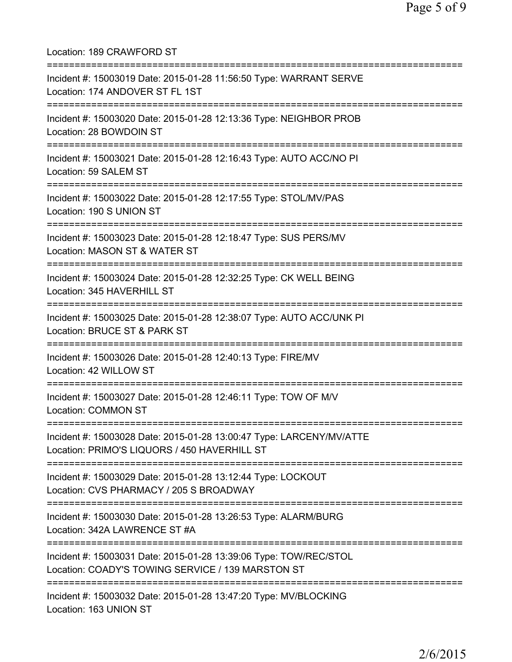Location: 189 CRAWFORD ST =========================================================================== Incident #: 15003019 Date: 2015-01-28 11:56:50 Type: WARRANT SERVE Location: 174 ANDOVER ST FL 1ST =========================================================================== Incident #: 15003020 Date: 2015-01-28 12:13:36 Type: NEIGHBOR PROB Location: 28 BOWDOIN ST =========================================================================== Incident #: 15003021 Date: 2015-01-28 12:16:43 Type: AUTO ACC/NO PI Location: 59 SALEM ST =========================================================================== Incident #: 15003022 Date: 2015-01-28 12:17:55 Type: STOL/MV/PAS Location: 190 S UNION ST =========================================================================== Incident #: 15003023 Date: 2015-01-28 12:18:47 Type: SUS PERS/MV Location: MASON ST & WATER ST =========================================================================== Incident #: 15003024 Date: 2015-01-28 12:32:25 Type: CK WELL BEING Location: 345 HAVERHILL ST =========================================================================== Incident #: 15003025 Date: 2015-01-28 12:38:07 Type: AUTO ACC/UNK PI Location: BRUCE ST & PARK ST =========================================================================== Incident #: 15003026 Date: 2015-01-28 12:40:13 Type: FIRE/MV Location: 42 WILLOW ST =========================================================================== Incident #: 15003027 Date: 2015-01-28 12:46:11 Type: TOW OF M/V Location: COMMON ST =========================================================================== Incident #: 15003028 Date: 2015-01-28 13:00:47 Type: LARCENY/MV/ATTE Location: PRIMO'S LIQUORS / 450 HAVERHILL ST =========================================================================== Incident #: 15003029 Date: 2015-01-28 13:12:44 Type: LOCKOUT Location: CVS PHARMACY / 205 S BROADWAY =========================================================================== Incident #: 15003030 Date: 2015-01-28 13:26:53 Type: ALARM/BURG Location: 342A LAWRENCE ST #A =========================================================================== Incident #: 15003031 Date: 2015-01-28 13:39:06 Type: TOW/REC/STOL Location: COADY'S TOWING SERVICE / 139 MARSTON ST =========================================================================== Incident #: 15003032 Date: 2015-01-28 13:47:20 Type: MV/BLOCKING Location: 163 UNION ST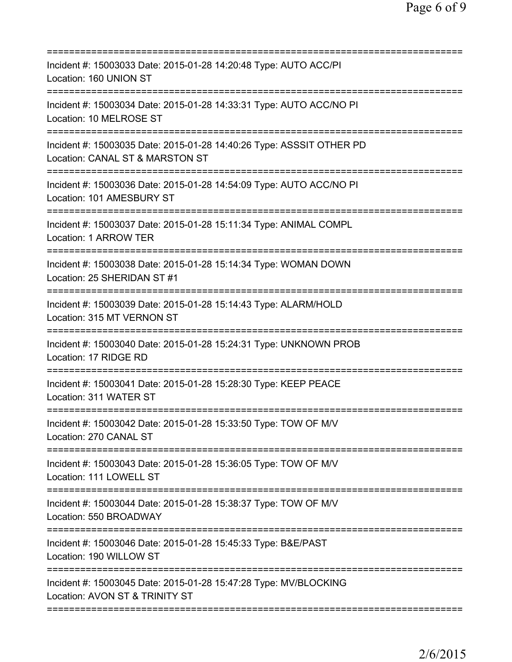| Incident #: 15003033 Date: 2015-01-28 14:20:48 Type: AUTO ACC/PI<br>Location: 160 UNION ST                                       |
|----------------------------------------------------------------------------------------------------------------------------------|
| Incident #: 15003034 Date: 2015-01-28 14:33:31 Type: AUTO ACC/NO PI<br>Location: 10 MELROSE ST                                   |
| Incident #: 15003035 Date: 2015-01-28 14:40:26 Type: ASSSIT OTHER PD<br>Location: CANAL ST & MARSTON ST<br>===================== |
| Incident #: 15003036 Date: 2015-01-28 14:54:09 Type: AUTO ACC/NO PI<br>Location: 101 AMESBURY ST<br>=====================        |
| Incident #: 15003037 Date: 2015-01-28 15:11:34 Type: ANIMAL COMPL<br>Location: 1 ARROW TER                                       |
| Incident #: 15003038 Date: 2015-01-28 15:14:34 Type: WOMAN DOWN<br>Location: 25 SHERIDAN ST #1                                   |
| Incident #: 15003039 Date: 2015-01-28 15:14:43 Type: ALARM/HOLD<br>Location: 315 MT VERNON ST<br>============                    |
| Incident #: 15003040 Date: 2015-01-28 15:24:31 Type: UNKNOWN PROB<br>Location: 17 RIDGE RD                                       |
| Incident #: 15003041 Date: 2015-01-28 15:28:30 Type: KEEP PEACE<br>Location: 311 WATER ST                                        |
| Incident #: 15003042 Date: 2015-01-28 15:33:50 Type: TOW OF M/V<br>Location: 270 CANAL ST                                        |
| Incident #: 15003043 Date: 2015-01-28 15:36:05 Type: TOW OF M/V<br>Location: 111 LOWELL ST                                       |
| Incident #: 15003044 Date: 2015-01-28 15:38:37 Type: TOW OF M/V<br>Location: 550 BROADWAY                                        |
| Incident #: 15003046 Date: 2015-01-28 15:45:33 Type: B&E/PAST<br>Location: 190 WILLOW ST                                         |
| Incident #: 15003045 Date: 2015-01-28 15:47:28 Type: MV/BLOCKING<br>Location: AVON ST & TRINITY ST                               |
|                                                                                                                                  |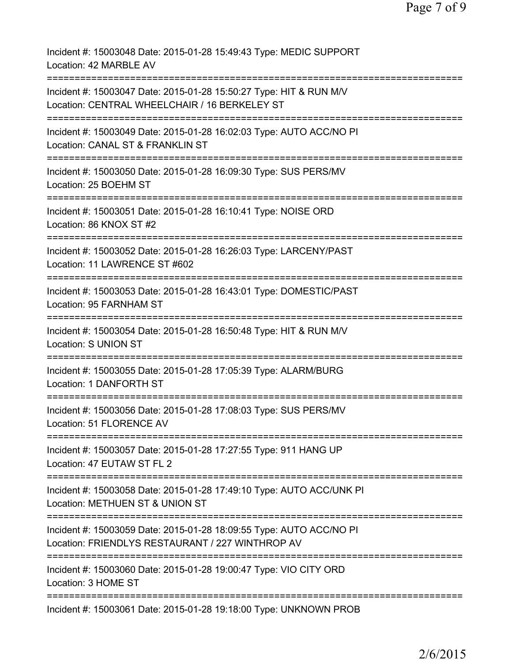Incident #: 15003048 Date: 2015-01-28 15:49:43 Type: MEDIC SUPPORT Location: 42 MARBLE AV =========================================================================== Incident #: 15003047 Date: 2015-01-28 15:50:27 Type: HIT & RUN M/V Location: CENTRAL WHEELCHAIR / 16 BERKELEY ST =========================================================================== Incident #: 15003049 Date: 2015-01-28 16:02:03 Type: AUTO ACC/NO PI Location: CANAL ST & FRANKLIN ST =========================================================================== Incident #: 15003050 Date: 2015-01-28 16:09:30 Type: SUS PERS/MV Location: 25 BOEHM ST =========================================================================== Incident #: 15003051 Date: 2015-01-28 16:10:41 Type: NOISE ORD Location: 86 KNOX ST #2 =========================================================================== Incident #: 15003052 Date: 2015-01-28 16:26:03 Type: LARCENY/PAST Location: 11 LAWRENCE ST #602 =========================================================================== Incident #: 15003053 Date: 2015-01-28 16:43:01 Type: DOMESTIC/PAST Location: 95 FARNHAM ST =========================================================================== Incident #: 15003054 Date: 2015-01-28 16:50:48 Type: HIT & RUN M/V Location: S UNION ST =========================================================================== Incident #: 15003055 Date: 2015-01-28 17:05:39 Type: ALARM/BURG Location: 1 DANFORTH ST =========================================================================== Incident #: 15003056 Date: 2015-01-28 17:08:03 Type: SUS PERS/MV Location: 51 FLORENCE AV =========================================================================== Incident #: 15003057 Date: 2015-01-28 17:27:55 Type: 911 HANG UP Location: 47 EUTAW ST FL 2 =========================================================================== Incident #: 15003058 Date: 2015-01-28 17:49:10 Type: AUTO ACC/UNK PI Location: METHUEN ST & UNION ST =========================================================================== Incident #: 15003059 Date: 2015-01-28 18:09:55 Type: AUTO ACC/NO PI Location: FRIENDLYS RESTAURANT / 227 WINTHROP AV =========================================================================== Incident #: 15003060 Date: 2015-01-28 19:00:47 Type: VIO CITY ORD Location: 3 HOME ST =========================================================================== Incident #: 15003061 Date: 2015-01-28 19:18:00 Type: UNKNOWN PROB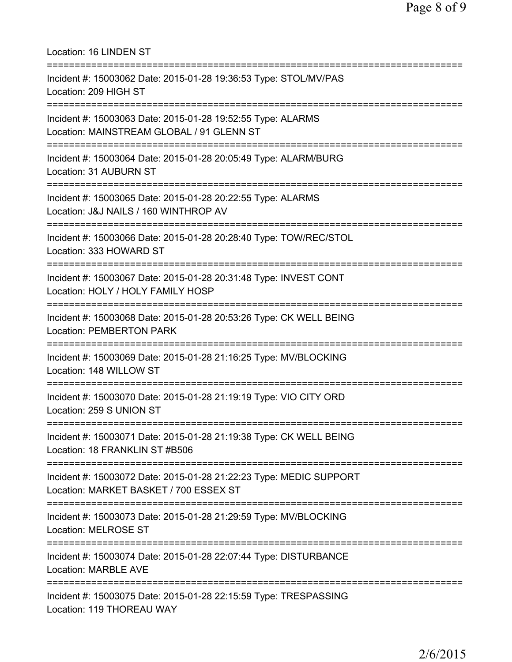| Location: 16 LINDEN ST                                                                                                                  |
|-----------------------------------------------------------------------------------------------------------------------------------------|
| Incident #: 15003062 Date: 2015-01-28 19:36:53 Type: STOL/MV/PAS<br>Location: 209 HIGH ST                                               |
| Incident #: 15003063 Date: 2015-01-28 19:52:55 Type: ALARMS<br>Location: MAINSTREAM GLOBAL / 91 GLENN ST                                |
| Incident #: 15003064 Date: 2015-01-28 20:05:49 Type: ALARM/BURG<br>Location: 31 AUBURN ST<br>---------------------------------          |
| Incident #: 15003065 Date: 2015-01-28 20:22:55 Type: ALARMS<br>Location: J&J NAILS / 160 WINTHROP AV<br>------------------------------- |
| Incident #: 15003066 Date: 2015-01-28 20:28:40 Type: TOW/REC/STOL<br>Location: 333 HOWARD ST                                            |
| Incident #: 15003067 Date: 2015-01-28 20:31:48 Type: INVEST CONT<br>Location: HOLY / HOLY FAMILY HOSP                                   |
| :====================<br>Incident #: 15003068 Date: 2015-01-28 20:53:26 Type: CK WELL BEING<br><b>Location: PEMBERTON PARK</b>          |
| Incident #: 15003069 Date: 2015-01-28 21:16:25 Type: MV/BLOCKING<br>Location: 148 WILLOW ST                                             |
| Incident #: 15003070 Date: 2015-01-28 21:19:19 Type: VIO CITY ORD<br>Location: 259 S UNION ST                                           |
| Incident #: 15003071 Date: 2015-01-28 21:19:38 Type: CK WELL BEING<br>Location: 18 FRANKLIN ST #B506                                    |
| Incident #: 15003072 Date: 2015-01-28 21:22:23 Type: MEDIC SUPPORT<br>Location: MARKET BASKET / 700 ESSEX ST                            |
| Incident #: 15003073 Date: 2015-01-28 21:29:59 Type: MV/BLOCKING<br><b>Location: MELROSE ST</b>                                         |
| Incident #: 15003074 Date: 2015-01-28 22:07:44 Type: DISTURBANCE<br><b>Location: MARBLE AVE</b>                                         |
| Incident #: 15003075 Date: 2015-01-28 22:15:59 Type: TRESPASSING<br>Location: 119 THOREAU WAY                                           |